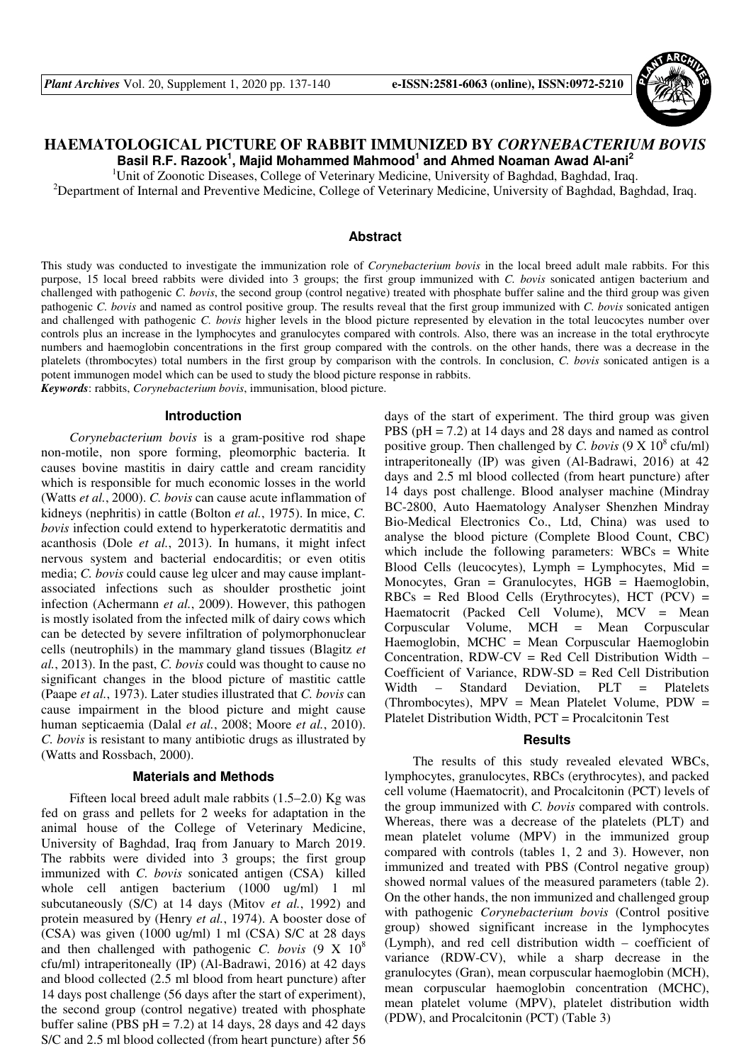

# **HAEMATOLOGICAL PICTURE OF RABBIT IMMUNIZED BY** *CORYNEBACTERIUM BOVIS* **Basil R.F. Razook<sup>1</sup> , Majid Mohammed Mahmood<sup>1</sup> and Ahmed Noaman Awad Al-ani<sup>2</sup>**

<sup>1</sup>Unit of Zoonotic Diseases, College of Veterinary Medicine, University of Baghdad, Baghdad, Iraq.

<sup>2</sup>Department of Internal and Preventive Medicine, College of Veterinary Medicine, University of Baghdad, Baghdad, Iraq.

### **Abstract**

This study was conducted to investigate the immunization role of *Corynebacterium bovis* in the local breed adult male rabbits. For this purpose, 15 local breed rabbits were divided into 3 groups; the first group immunized with *C. bovis* sonicated antigen bacterium and challenged with pathogenic *C. bovis*, the second group (control negative) treated with phosphate buffer saline and the third group was given pathogenic *C. bovis* and named as control positive group. The results reveal that the first group immunized with *C. bovis* sonicated antigen and challenged with pathogenic *C. bovis* higher levels in the blood picture represented by elevation in the total leucocytes number over controls plus an increase in the lymphocytes and granulocytes compared with controls. Also, there was an increase in the total erythrocyte numbers and haemoglobin concentrations in the first group compared with the controls. on the other hands, there was a decrease in the platelets (thrombocytes) total numbers in the first group by comparison with the controls. In conclusion, *C. bovis* sonicated antigen is a potent immunogen model which can be used to study the blood picture response in rabbits.

*Keywords*: rabbits, *Corynebacterium bovis*, immunisation, blood picture.

#### **Introduction**

*Corynebacterium bovis* is a gram-positive rod shape non-motile, non spore forming, pleomorphic bacteria. It causes bovine mastitis in dairy cattle and cream rancidity which is responsible for much economic losses in the world (Watts *et al.*, 2000). *C. bovis* can cause acute inflammation of kidneys (nephritis) in cattle (Bolton *et al.*, 1975). In mice, *C. bovis* infection could extend to hyperkeratotic dermatitis and acanthosis (Dole *et al.*, 2013). In humans, it might infect nervous system and bacterial endocarditis; or even otitis media; *C. bovis* could cause leg ulcer and may cause implantassociated infections such as shoulder prosthetic joint infection (Achermann *et al.*, 2009). However, this pathogen is mostly isolated from the infected milk of dairy cows which can be detected by severe infiltration of polymorphonuclear cells (neutrophils) in the mammary gland tissues (Blagitz *et al.*, 2013). In the past, *C. bovis* could was thought to cause no significant changes in the blood picture of mastitic cattle (Paape *et al.*, 1973). Later studies illustrated that *C. bovis* can cause impairment in the blood picture and might cause human septicaemia (Dalal *et al.*, 2008; Moore *et al.*, 2010). *C. bovis* is resistant to many antibiotic drugs as illustrated by (Watts and Rossbach, 2000).

## **Materials and Methods**

Fifteen local breed adult male rabbits (1.5–2.0) Kg was fed on grass and pellets for 2 weeks for adaptation in the animal house of the College of Veterinary Medicine, University of Baghdad, Iraq from January to March 2019. The rabbits were divided into 3 groups; the first group immunized with *C. bovis* sonicated antigen (CSA) killed whole cell antigen bacterium (1000 ug/ml) 1 ml subcutaneously (S/C) at 14 days (Mitov *et al.*, 1992) and protein measured by (Henry *et al.*, 1974). A booster dose of (CSA) was given (1000 ug/ml) 1 ml (CSA) S/C at 28 days and then challenged with pathogenic *C. bovis* (9 X 10<sup>8</sup> cfu/ml) intraperitoneally (IP) (Al-Badrawi, 2016) at 42 days and blood collected (2.5 ml blood from heart puncture) after 14 days post challenge (56 days after the start of experiment), the second group (control negative) treated with phosphate buffer saline (PBS  $pH = 7.2$ ) at 14 days, 28 days and 42 days S/C and 2.5 ml blood collected (from heart puncture) after 56 days of the start of experiment. The third group was given PBS ( $pH = 7.2$ ) at 14 days and 28 days and named as control positive group. Then challenged by *C. bovis*  $(9 \text{ X } 10^8 \text{ c} \text{fu/ml})$ intraperitoneally (IP) was given (Al-Badrawi, 2016) at 42 days and 2.5 ml blood collected (from heart puncture) after 14 days post challenge. Blood analyser machine (Mindray BC-2800, Auto Haematology Analyser Shenzhen Mindray Bio-Medical Electronics Co., Ltd, China) was used to analyse the blood picture (Complete Blood Count, CBC) which include the following parameters:  $WBCs = White$ Blood Cells (leucocytes), Lymph  $=$  Lymphocytes, Mid  $=$ Monocytes, Gran = Granulocytes, HGB = Haemoglobin,  $RBCs = Red Blood Cells (Erythrocytes), HCT (PCV) =$ Haematocrit (Packed Cell Volume), MCV = Mean Corpuscular Volume, MCH = Mean Corpuscular Haemoglobin, MCHC = Mean Corpuscular Haemoglobin Concentration,  $RDW-CV = Red$  Cell Distribution Width – Coefficient of Variance, RDW-SD = Red Cell Distribution Width  $-$  Standard Deviation, PLT  $=$  Platelets (Thrombocytes),  $MPV = Mean$  Platelet Volume,  $PDW =$ Platelet Distribution Width, PCT = Procalcitonin Test

#### **Results**

The results of this study revealed elevated WBCs, lymphocytes, granulocytes, RBCs (erythrocytes), and packed cell volume (Haematocrit), and Procalcitonin (PCT) levels of the group immunized with *C. bovis* compared with controls. Whereas, there was a decrease of the platelets (PLT) and mean platelet volume (MPV) in the immunized group compared with controls (tables 1, 2 and 3). However, non immunized and treated with PBS (Control negative group) showed normal values of the measured parameters (table 2). On the other hands, the non immunized and challenged group with pathogenic *Corynebacterium bovis* (Control positive group) showed significant increase in the lymphocytes (Lymph), and red cell distribution width – coefficient of variance (RDW-CV), while a sharp decrease in the granulocytes (Gran), mean corpuscular haemoglobin (MCH), mean corpuscular haemoglobin concentration (MCHC), mean platelet volume (MPV), platelet distribution width (PDW), and Procalcitonin (PCT) (Table 3)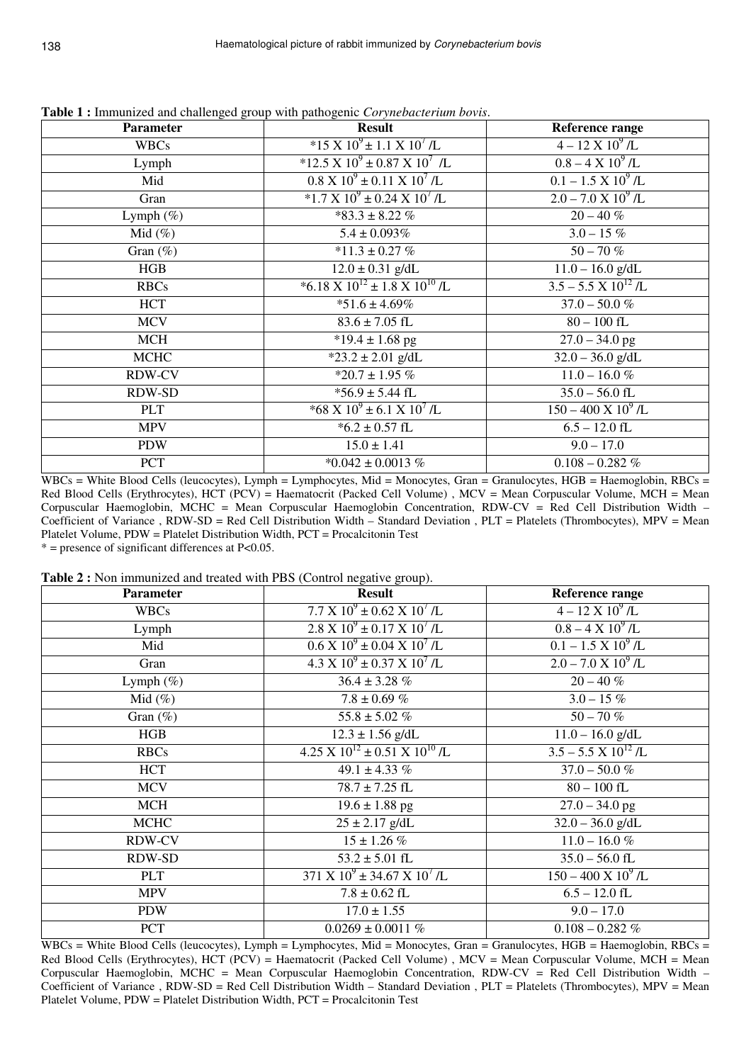| <b>Parameter</b> | <b>Result</b>                                               | <b>Reference range</b>                 |
|------------------|-------------------------------------------------------------|----------------------------------------|
| <b>WBCs</b>      | $*15 \text{ X } 10^9 \pm 1.1 \text{ X } 10^7 \text{ /L}$    | $4 - 12$ X $10^9$ /L                   |
| Lymph            | $*12.5 \text{ X } 10^9 \pm 0.87 \text{ X } 10^7 \text{ /L}$ | $0.8 - 4 \times 10^9$ /L               |
| Mid              | $0.8 \text{ X } 10^9 \pm 0.11 \text{ X } 10^7 \text{ /L}$   | $0.1 - 1.5 \times 10^9$ /L             |
| Gran             | $*1.7 \times 10^9 \pm 0.24 \times 10^7$ /L                  | $2.0 - 7.0 \text{ X } 10^9 \text{ /L}$ |
| Lymph $(\%)$     | $*83.3 \pm 8.22 \%$                                         | $20 - 40 \%$                           |
| Mid $(\%)$       | $5.4 \pm 0.093\%$                                           | $3.0 - 15\%$                           |
| Gran $(\%)$      | $*11.3 \pm 0.27 \%$                                         | $50 - 70%$                             |
| HGB              | $12.0 \pm 0.31$ g/dL                                        | $11.0 - 16.0$ g/dL                     |
| <b>RBCs</b>      | *6.18 X $10^{12} \pm 1.8$ X $10^{10}$ /L                    | $3.5 - 5.5 \times 10^{12}$ /L          |
| <b>HCT</b>       | $*51.6 \pm 4.69\%$                                          | $37.0 - 50.0 %$                        |
| <b>MCV</b>       | $83.6 \pm 7.05$ fL                                          | $80 - 100$ fL                          |
| <b>MCH</b>       | $*19.4 \pm 1.68$ pg                                         | $27.0 - 34.0$ pg                       |
| <b>MCHC</b>      | $*23.2 \pm 2.01$ g/dL                                       | $32.0 - 36.0$ g/dL                     |
| <b>RDW-CV</b>    | $*20.7 \pm 1.95\%$                                          | $11.0 - 16.0\%$                        |
| RDW-SD           | $*56.9 \pm 5.44$ fL                                         | $35.0 - 56.0$ fL                       |
| <b>PLT</b>       | $*68 \text{ X } 10^9 \pm 6.1 \text{ X } 10^7 \text{ /L}$    | $150 - 400 \text{ X } 10^9 \text{ /L}$ |
| <b>MPV</b>       | $*6.2 \pm 0.57$ fL                                          | $6.5 - 12.0$ fL                        |
| <b>PDW</b>       | $15.0 \pm 1.41$                                             | $9.0 - 17.0$                           |
| <b>PCT</b>       | $*0.042 \pm 0.0013$ %                                       | $0.108 - 0.282\%$                      |

**Table 1 :** Immunized and challenged group with pathogenic *Corynebacterium bovis*.

 $WBCs = White Blood Cells (leucocytes), Lymph = Lymphocytes, Mid = Monocytes, Gran = Granulocytes, HGB = Haemoglobin, RBCs = I$ Red Blood Cells (Erythrocytes), HCT (PCV) = Haematocrit (Packed Cell Volume) , MCV = Mean Corpuscular Volume, MCH = Mean Corpuscular Haemoglobin, MCHC = Mean Corpuscular Haemoglobin Concentration, RDW-CV = Red Cell Distribution Width – Coefficient of Variance , RDW-SD = Red Cell Distribution Width – Standard Deviation , PLT = Platelets (Thrombocytes), MPV = Mean Platelet Volume, PDW = Platelet Distribution Width, PCT = Procalcitonin Test  $*$  = presence of significant differences at P<0.05.

**Table 2 :** Non immunized and treated with PBS (Control negative group).

| $\frac{1}{2}$ . For minumized and treated with FDS (Control negative group).<br><b>Parameter</b> | <b>Result</b>                                                    | <b>Reference range</b>                 |
|--------------------------------------------------------------------------------------------------|------------------------------------------------------------------|----------------------------------------|
| <b>WBCs</b>                                                                                      | $7.7 \times 10^9 \pm 0.62 \times 10^7$ /L                        | $4 - 12 \text{ X } 10^9 \text{ /L}$    |
| Lymph                                                                                            | $2.8 \text{ X } 10^9 \pm 0.17 \text{ X } 10^7 \text{ /L}$        | $0.8 - 4 \times 10^9$ /L               |
| Mid                                                                                              | $0.6 \text{ X } 10^9 \pm 0.04 \text{ X } 10^7 \text{ /L}$        | $0.1 - 1.5 \text{ X } 10^9 \text{ /L}$ |
| Gran                                                                                             | $4.3 \text{ X } 10^9 \pm 0.37 \text{ X } 10^7 \text{ /L}$        | $2.0 - 7.0 \text{ X } 10^9 \text{ /L}$ |
| Lymph $(\%)$                                                                                     | $36.4 \pm 3.28 \%$                                               | $20 - 40 \%$                           |
| Mid $(\%)$                                                                                       | $7.8 \pm 0.69 \%$                                                | $3.0 - 15\%$                           |
| Gran $(\%)$                                                                                      | $55.8 \pm 5.02 \%$                                               | $50 - 70%$                             |
| HGB                                                                                              | $12.3 \pm 1.56$ g/dL                                             | $11.0 - 16.0$ g/dL                     |
| <b>RBCs</b>                                                                                      | $4.25 \text{ X } 10^{12} \pm 0.51 \text{ X } 10^{10} \text{ /L}$ | $3.5 - 5.5 \times 10^{12}$ /L          |
| <b>HCT</b>                                                                                       | 49.1 $\pm$ 4.33 %                                                | $37.0 - 50.0 %$                        |
| <b>MCV</b>                                                                                       | $78.7 \pm 7.25$ fL                                               | $80 - 100$ fL                          |
| <b>MCH</b>                                                                                       | $19.6 \pm 1.88$ pg                                               | $27.0 - 34.0$ pg                       |
| <b>MCHC</b>                                                                                      | $25 \pm 2.17$ g/dL                                               | $32.0 - 36.0$ g/dL                     |
| <b>RDW-CV</b>                                                                                    | $15 \pm 1.26 \%$                                                 | $11.0 - 16.0 \%$                       |
| RDW-SD                                                                                           | $53.2 \pm 5.01$ fL                                               | $35.0 - 56.0$ fL                       |
| <b>PLT</b>                                                                                       | $371 \text{ X } 10^9 \pm 34.67 \text{ X } 10^7 \text{ /L}$       | $150 - 400 \text{ X } 10^9 \text{ /L}$ |
| <b>MPV</b>                                                                                       | $7.8 \pm 0.62$ fL                                                | $6.5 - 12.0$ fL                        |
| <b>PDW</b>                                                                                       | $17.0 \pm 1.55$                                                  | $9.0 - 17.0$                           |
| <b>PCT</b>                                                                                       | $0.0269 \pm 0.0011 \%$                                           | $0.108 - 0.282\%$                      |

 $WBCs = White Blood Cells (leucocytes), Lymph = Lymphocytes, Mid = Monocytes, Gran = Granulocytes, HGB = Haemoglobin, RBCs = I$ Red Blood Cells (Erythrocytes), HCT (PCV) = Haematocrit (Packed Cell Volume) , MCV = Mean Corpuscular Volume, MCH = Mean Corpuscular Haemoglobin, MCHC = Mean Corpuscular Haemoglobin Concentration, RDW-CV = Red Cell Distribution Width – Coefficient of Variance , RDW-SD = Red Cell Distribution Width – Standard Deviation , PLT = Platelets (Thrombocytes), MPV = Mean Platelet Volume, PDW = Platelet Distribution Width, PCT = Procalcitonin Test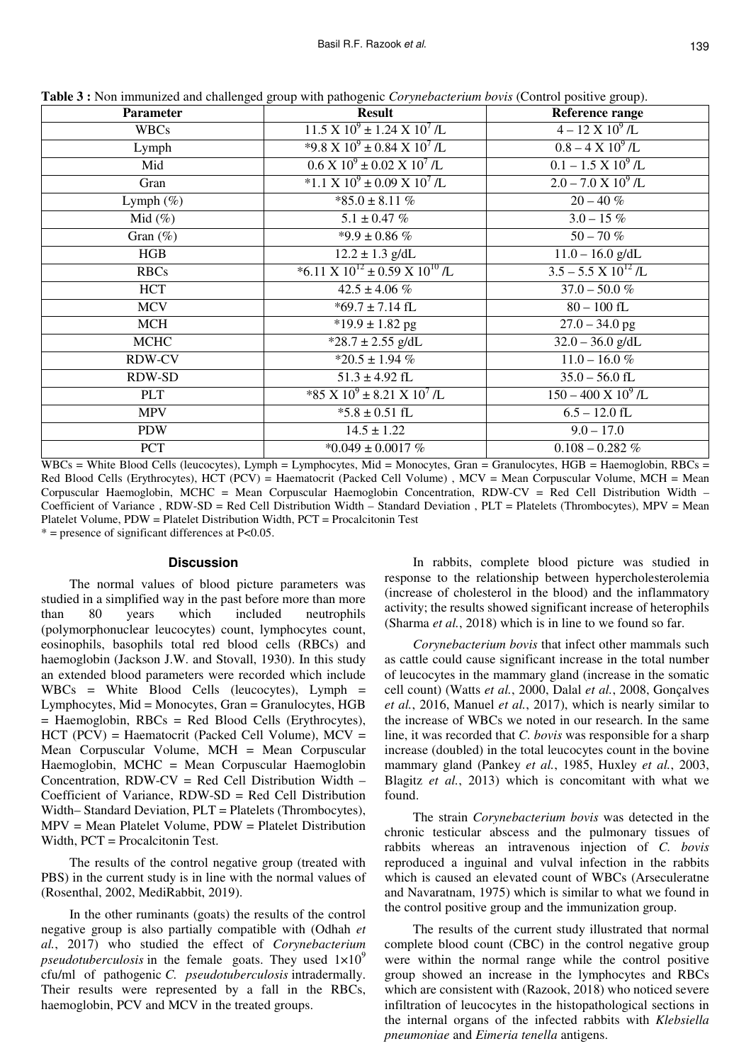| <b>Parameter</b> | <b>Result</b>                                              | Reference range                        |
|------------------|------------------------------------------------------------|----------------------------------------|
| <b>WBCs</b>      | $11.5 \text{ X } 10^9 \pm 1.24 \text{ X } 10^7 \text{ /L}$ | $4 - 12$ X $10^9$ /L                   |
| Lymph            | $*9.8 \text{ X } 10^9 \pm 0.84 \text{ X } 10^7 \text{ /L}$ | $0.8 - 4 \times 10^9$ /L               |
| Mid              | $0.6 \text{ X } 10^9 \pm 0.02 \text{ X } 10^7 \text{ /L}$  | $0.1 - 1.5 \times 10^9$ /L             |
| Gran             | $*1.1 \times 10^9 \pm 0.09 \times 10^7$ /L                 | $2.0 - 7.0 \text{ X } 10^9 \text{ /L}$ |
| Lymph $(\%)$     | $*85.0 \pm 8.11 \%$                                        | $20 - 40 \%$                           |
| Mid $(\%)$       | $5.1 \pm 0.47 \%$                                          | $3.0 - 15\%$                           |
| Gran $(\%)$      | $*9.9 \pm 0.86 \%$                                         | $50 - 70%$                             |
| HGB              | $12.2 \pm 1.3$ g/dL                                        | $11.0 - 16.0$ g/dL                     |
| <b>RBCs</b>      | *6.11 X $10^{12} \pm 0.59$ X $10^{10}$ /L                  | $3.5 - 5.5 \times 10^{12}$ /L          |
| <b>HCT</b>       | $42.5 \pm 4.06 \%$                                         | $37.0 - 50.0 %$                        |
| <b>MCV</b>       | $*69.7 \pm 7.14$ fL                                        | $80 - 100$ fL                          |
| <b>MCH</b>       | $*19.9 \pm 1.82$ pg                                        | $27.0 - 34.0$ pg                       |
| <b>MCHC</b>      | $*28.7 \pm 2.55$ g/dL                                      | $32.0 - 36.0$ g/dL                     |
| <b>RDW-CV</b>    | $*20.5 \pm 1.94 \%$                                        | $11.0 - 16.0 \%$                       |
| RDW-SD           | $51.3 \pm 4.92$ fL                                         | $35.0 - 56.0$ fL                       |
| <b>PLT</b>       | $*85 \text{ X } 10^9 \pm 8.21 \text{ X } 10^7 \text{ /L}$  | $150 - 400 \text{ X } 10^9 \text{/L}$  |
| <b>MPV</b>       | $*5.8 \pm 0.51$ fL                                         | $6.5 - 12.0$ fL                        |
| <b>PDW</b>       | $14.5 \pm 1.22$                                            | $9.0 - 17.0$                           |
| <b>PCT</b>       | $*0.049 \pm 0.0017$ %                                      | $0.108 - 0.282\%$                      |

**Table 3 :** Non immunized and challenged group with pathogenic *Corynebacterium bovis* (Control positive group).

 $WBCs = White Blood Cells (leucocytes)$ , Lymph = Lymphocytes, Mid = Monocytes, Gran = Granulocytes, HGB = Haemoglobin, RBCs = Red Blood Cells (Erythrocytes), HCT (PCV) = Haematocrit (Packed Cell Volume), MCV = Mean Corpuscular Volume, MCH = Mean Corpuscular Haemoglobin, MCHC = Mean Corpuscular Haemoglobin Concentration, RDW-CV = Red Cell Distribution Width – Coefficient of Variance , RDW-SD = Red Cell Distribution Width – Standard Deviation , PLT = Platelets (Thrombocytes), MPV = Mean Platelet Volume, PDW = Platelet Distribution Width, PCT = Procalcitonin Test  $*$  = presence of significant differences at P<0.05.

#### **Discussion**

The normal values of blood picture parameters was studied in a simplified way in the past before more than more than 80 years which included neutrophils (polymorphonuclear leucocytes) count, lymphocytes count, eosinophils, basophils total red blood cells (RBCs) and haemoglobin (Jackson J.W. and Stovall, 1930). In this study an extended blood parameters were recorded which include  $WBCs = White Blood Cells (leucocytes), Lymph =$ Lymphocytes, Mid = Monocytes, Gran = Granulocytes, HGB = Haemoglobin, RBCs = Red Blood Cells (Erythrocytes), HCT (PCV) = Haematocrit (Packed Cell Volume), MCV = Mean Corpuscular Volume, MCH = Mean Corpuscular Haemoglobin, MCHC = Mean Corpuscular Haemoglobin Concentration,  $RDW-CV = Red Cell Distribution Width -$ Coefficient of Variance, RDW-SD = Red Cell Distribution Width– Standard Deviation, PLT = Platelets (Thrombocytes), MPV = Mean Platelet Volume, PDW = Platelet Distribution Width, PCT = Procalcitonin Test.

The results of the control negative group (treated with PBS) in the current study is in line with the normal values of (Rosenthal, 2002, MediRabbit, 2019).

In the other ruminants (goats) the results of the control negative group is also partially compatible with (Odhah *et al.*, 2017) who studied the effect of *Corynebacterium pseudotuberculosis* in the female goats. They used  $1 \times 10^9$ cfu/ml of pathogenic *C. pseudotuberculosis* intradermally. Their results were represented by a fall in the RBCs, haemoglobin, PCV and MCV in the treated groups.

In rabbits, complete blood picture was studied in response to the relationship between hypercholesterolemia (increase of cholesterol in the blood) and the inflammatory activity; the results showed significant increase of heterophils (Sharma *et al.*, 2018) which is in line to we found so far.

*Corynebacterium bovis* that infect other mammals such as cattle could cause significant increase in the total number of leucocytes in the mammary gland (increase in the somatic cell count) (Watts *et al.*, 2000, Dalal *et al.*, 2008, Gonçalves *et al.*, 2016, Manuel *et al.*, 2017), which is nearly similar to the increase of WBCs we noted in our research. In the same line, it was recorded that *C. bovis* was responsible for a sharp increase (doubled) in the total leucocytes count in the bovine mammary gland (Pankey *et al.*, 1985, Huxley *et al.*, 2003, Blagitz *et al.*, 2013) which is concomitant with what we found.

The strain *Corynebacterium bovis* was detected in the chronic testicular abscess and the pulmonary tissues of rabbits whereas an intravenous injection of *C. bovis* reproduced a inguinal and vulval infection in the rabbits which is caused an elevated count of WBCs (Arseculeratne and Navaratnam, 1975) which is similar to what we found in the control positive group and the immunization group.

The results of the current study illustrated that normal complete blood count (CBC) in the control negative group were within the normal range while the control positive group showed an increase in the lymphocytes and RBCs which are consistent with (Razook, 2018) who noticed severe infiltration of leucocytes in the histopathological sections in the internal organs of the infected rabbits with *Klebsiella pneumoniae* and *Eimeria tenella* antigens.